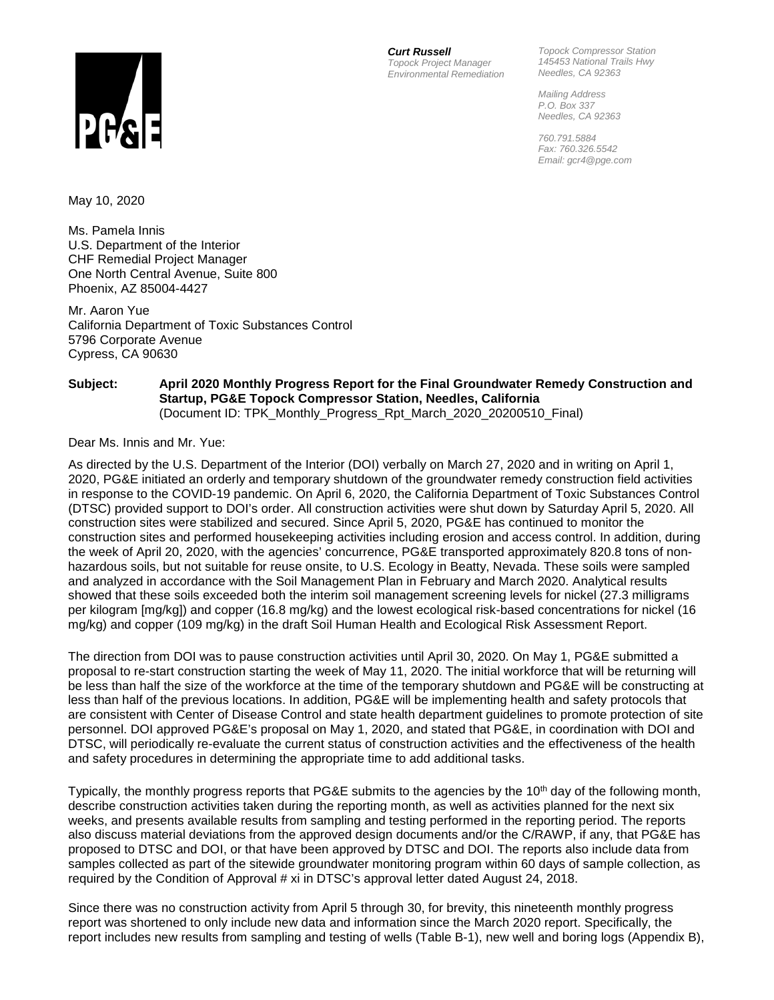

*Curt Russell Topock Project Manager Environmental Remediation*

*Topock Compressor Station 145453 National Trails Hwy Needles, CA 92363*

*Mailing Address P.O. Box 337 Needles, CA 92363*

*760.791.5884 Fax: 760.326.5542 Email: gcr4@pge.com*

May 10, 2020

Ms. Pamela Innis U.S. Department of the Interior CHF Remedial Project Manager One North Central Avenue, Suite 800 Phoenix, AZ 85004-4427

Mr. Aaron Yue California Department of Toxic Substances Control 5796 Corporate Avenue Cypress, CA 90630

#### **Subject: April 2020 Monthly Progress Report for the Final Groundwater Remedy Construction and Startup, PG&E Topock Compressor Station, Needles, California**

(Document ID: TPK\_Monthly\_Progress\_Rpt\_March\_2020\_20200510\_Final)

Dear Ms. Innis and Mr. Yue:

As directed by the U.S. Department of the Interior (DOI) verbally on March 27, 2020 and in writing on April 1, 2020, PG&E initiated an orderly and temporary shutdown of the groundwater remedy construction field activities in response to the COVID-19 pandemic. On April 6, 2020, the California Department of Toxic Substances Control (DTSC) provided support to DOI's order. All construction activities were shut down by Saturday April 5, 2020. All construction sites were stabilized and secured. Since April 5, 2020, PG&E has continued to monitor the construction sites and performed housekeeping activities including erosion and access control. In addition, during the week of April 20, 2020, with the agencies' concurrence, PG&E transported approximately 820.8 tons of nonhazardous soils, but not suitable for reuse onsite, to U.S. Ecology in Beatty, Nevada. These soils were sampled and analyzed in accordance with the Soil Management Plan in February and March 2020. Analytical results showed that these soils exceeded both the interim soil management screening levels for nickel (27.3 milligrams per kilogram [mg/kg]) and copper (16.8 mg/kg) and the lowest ecological risk-based concentrations for nickel (16 mg/kg) and copper (109 mg/kg) in the draft Soil Human Health and Ecological Risk Assessment Report.

The direction from DOI was to pause construction activities until April 30, 2020. On May 1, PG&E submitted a proposal to re-start construction starting the week of May 11, 2020. The initial workforce that will be returning will be less than half the size of the workforce at the time of the temporary shutdown and PG&E will be constructing at less than half of the previous locations. In addition, PG&E will be implementing health and safety protocols that are consistent with Center of Disease Control and state health department guidelines to promote protection of site personnel. DOI approved PG&E's proposal on May 1, 2020, and stated that PG&E, in coordination with DOI and DTSC, will periodically re-evaluate the current status of construction activities and the effectiveness of the health and safety procedures in determining the appropriate time to add additional tasks.

Typically, the monthly progress reports that PG&E submits to the agencies by the 10<sup>th</sup> day of the following month, describe construction activities taken during the reporting month, as well as activities planned for the next six weeks, and presents available results from sampling and testing performed in the reporting period. The reports also discuss material deviations from the approved design documents and/or the C/RAWP, if any, that PG&E has proposed to DTSC and DOI, or that have been approved by DTSC and DOI. The reports also include data from samples collected as part of the sitewide groundwater monitoring program within 60 days of sample collection, as required by the Condition of Approval # xi in DTSC's approval letter dated August 24, 2018.

Since there was no construction activity from April 5 through 30, for brevity, this nineteenth monthly progress report was shortened to only include new data and information since the March 2020 report. Specifically, the report includes new results from sampling and testing of wells (Table B-1), new well and boring logs (Appendix B),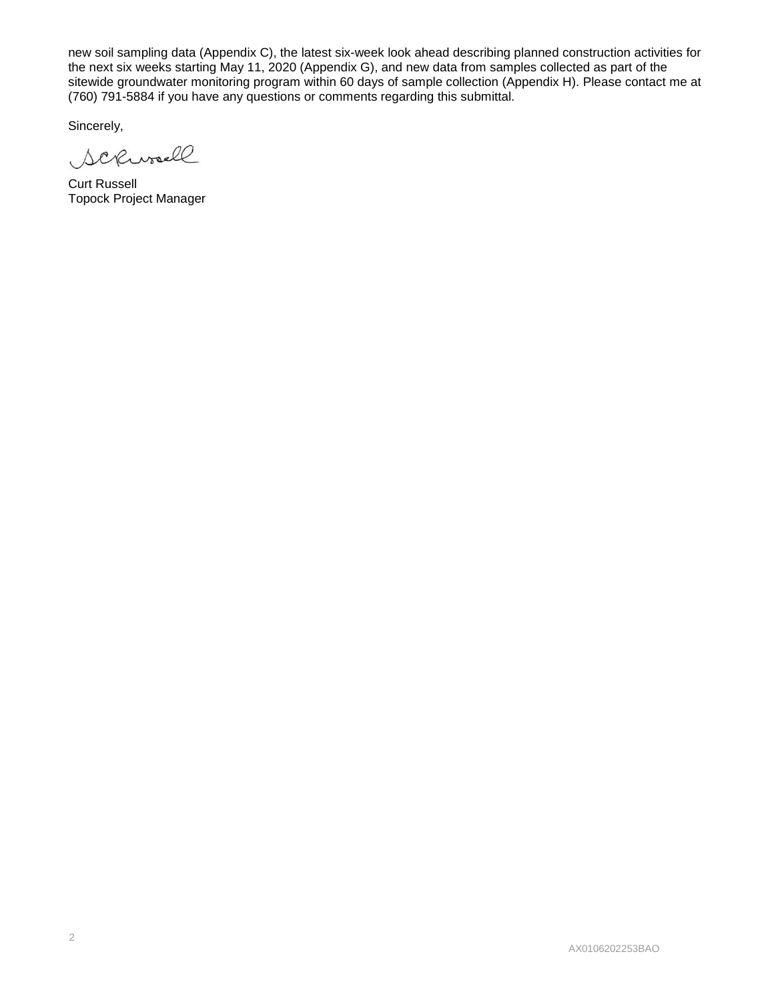new soil sampling data (Appendix C), the latest six-week look ahead describing planned construction activities for the next six weeks starting May 11, 2020 (Appendix G), and new data from samples collected as part of the sitewide groundwater monitoring program within 60 days of sample collection (Appendix H). Please contact me at (760) 791-5884 if you have any questions or comments regarding this submittal.

Sincerely,

Scrivall

Curt Russell Topock Project Manager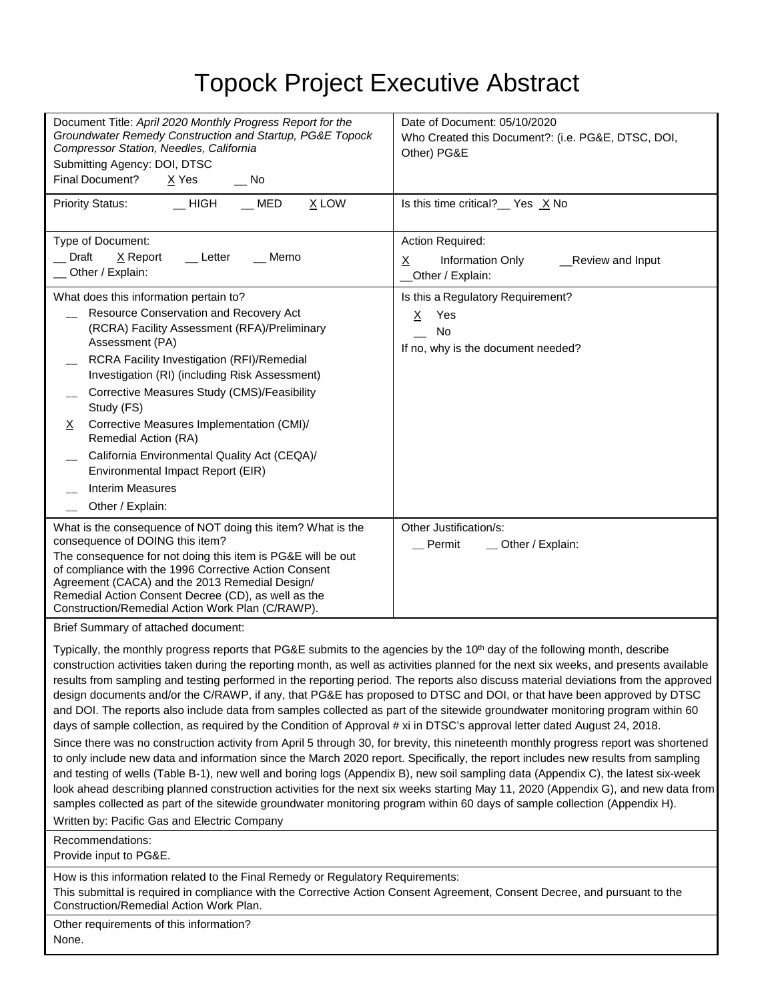# Topock Project Executive Abstract

| Document Title: April 2020 Monthly Progress Report for the<br>Groundwater Remedy Construction and Startup, PG&E Topock<br>Compressor Station, Needles, California<br>Submitting Agency: DOI, DTSC<br>Final Document?<br>$X$ Yes<br>$\sqrt{ }$ No                                                                                                                                                                                                                                                                                                                                                                                                                                                                                                                                                                                                                                                                                                         | Date of Document: 05/10/2020<br>Who Created this Document?: (i.e. PG&E, DTSC, DOI,<br>Other) PG&E |  |  |  |  |  |
|----------------------------------------------------------------------------------------------------------------------------------------------------------------------------------------------------------------------------------------------------------------------------------------------------------------------------------------------------------------------------------------------------------------------------------------------------------------------------------------------------------------------------------------------------------------------------------------------------------------------------------------------------------------------------------------------------------------------------------------------------------------------------------------------------------------------------------------------------------------------------------------------------------------------------------------------------------|---------------------------------------------------------------------------------------------------|--|--|--|--|--|
| $\_$ HIGH<br>MED<br>$X$ LOW<br><b>Priority Status:</b>                                                                                                                                                                                                                                                                                                                                                                                                                                                                                                                                                                                                                                                                                                                                                                                                                                                                                                   | Is this time critical? $\angle$ Yes $\angle$ No                                                   |  |  |  |  |  |
| Type of Document:<br>Draft<br>$\underline{X}$ Report<br>Letter<br>Memo<br>Other / Explain:                                                                                                                                                                                                                                                                                                                                                                                                                                                                                                                                                                                                                                                                                                                                                                                                                                                               | Action Required:<br>Information Only<br>_Review and Input<br>X<br>Other / Explain:                |  |  |  |  |  |
| What does this information pertain to?<br>Resource Conservation and Recovery Act<br>(RCRA) Facility Assessment (RFA)/Preliminary<br>Assessment (PA)<br>RCRA Facility Investigation (RFI)/Remedial<br>Investigation (RI) (including Risk Assessment)<br>Corrective Measures Study (CMS)/Feasibility<br>Study (FS)<br>Corrective Measures Implementation (CMI)/<br>X.<br>Remedial Action (RA)<br>California Environmental Quality Act (CEQA)/<br>Environmental Impact Report (EIR)<br><b>Interim Measures</b><br>Other / Explain:                                                                                                                                                                                                                                                                                                                                                                                                                          | Is this a Regulatory Requirement?<br>Yes<br>X.<br>No<br>If no, why is the document needed?        |  |  |  |  |  |
| What is the consequence of NOT doing this item? What is the<br>consequence of DOING this item?<br>The consequence for not doing this item is PG&E will be out<br>of compliance with the 1996 Corrective Action Consent<br>Agreement (CACA) and the 2013 Remedial Design/<br>Remedial Action Consent Decree (CD), as well as the<br>Construction/Remedial Action Work Plan (C/RAWP).                                                                                                                                                                                                                                                                                                                                                                                                                                                                                                                                                                      | Other Justification/s:<br>$\_$ Permit<br>_ Other / Explain:                                       |  |  |  |  |  |
| Brief Summary of attached document:                                                                                                                                                                                                                                                                                                                                                                                                                                                                                                                                                                                                                                                                                                                                                                                                                                                                                                                      |                                                                                                   |  |  |  |  |  |
| Typically, the monthly progress reports that PG&E submits to the agencies by the 10 <sup>th</sup> day of the following month, describe<br>construction activities taken during the reporting month, as well as activities planned for the next six weeks, and presents available<br>results from sampling and testing performed in the reporting period. The reports also discuss material deviations from the approved<br>design documents and/or the C/RAWP, if any, that PG&E has proposed to DTSC and DOI, or that have been approved by DTSC<br>and DOI. The reports also include data from samples collected as part of the sitewide groundwater monitoring program within 60<br>days of sample collection, as required by the Condition of Approval # xi in DTSC's approval letter dated August 24, 2018.<br>Since there was no construction activity from April 5 through 30, for brevity, this nineteenth monthly progress report was shortened |                                                                                                   |  |  |  |  |  |
| to only include new data and information since the March 2020 report. Specifically, the report includes new results from sampling                                                                                                                                                                                                                                                                                                                                                                                                                                                                                                                                                                                                                                                                                                                                                                                                                        |                                                                                                   |  |  |  |  |  |

and testing of wells (Table B-1), new well and boring logs (Appendix B), new soil sampling data (Appendix C), the latest six-week look ahead describing planned construction activities for the next six weeks starting May 11, 2020 (Appendix G), and new data from samples collected as part of the sitewide groundwater monitoring program within 60 days of sample collection (Appendix H). Written by: Pacific Gas and Electric Company

Recommendations:

Provide input to PG&E.

How is this information related to the Final Remedy or Regulatory Requirements:

This submittal is required in compliance with the Corrective Action Consent Agreement, Consent Decree, and pursuant to the Construction/Remedial Action Work Plan.

Other requirements of this information? None.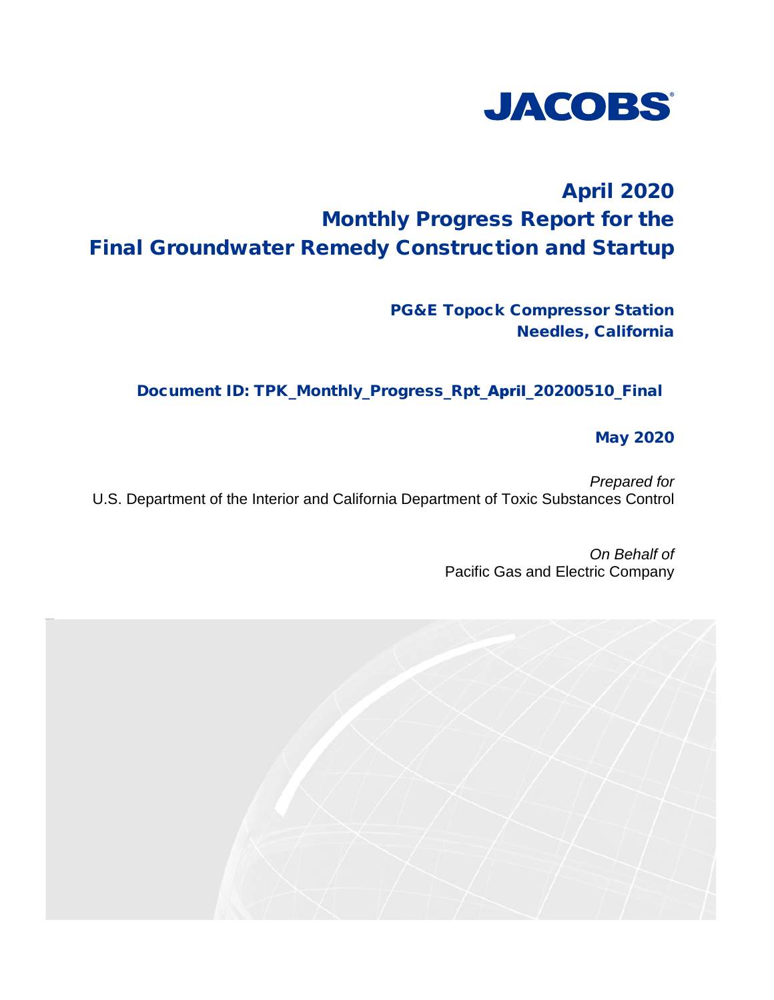

## April 2020 Monthly Progress Report for the Final Groundwater Remedy Construction and Startup

PG&E Topock Compressor Station Needles, California

Document ID: TPK\_Monthly\_Progress\_Rpt\_April\_20200510\_Final

May 2020

*Prepared for* U.S. Department of the Interior and California Department of Toxic Substances Control

> *On Behalf of*  Pacific Gas and Electric Company

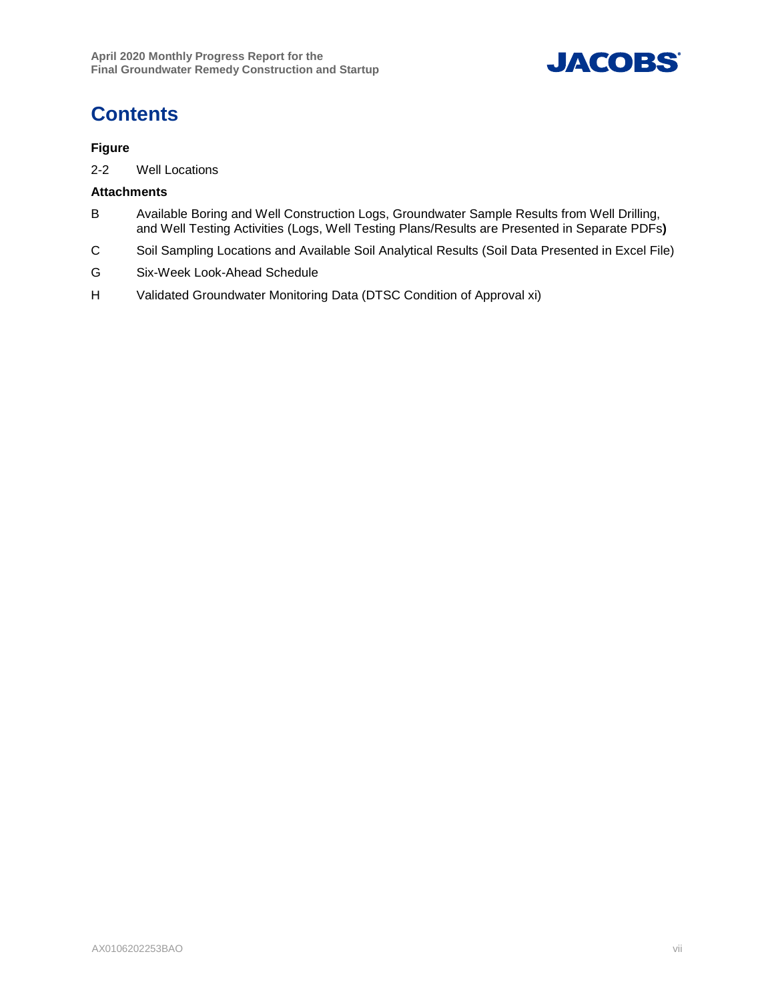

## **Contents**

#### **Figure**

2-2 Well Locations

#### **Attachments**

- B Available Boring and Well Construction Logs, Groundwater Sample Results from Well Drilling, and Well Testing Activities (Logs, Well Testing Plans/Results are Presented in Separate PDFs**)**
- C Soil Sampling Locations and Available Soil Analytical Results (Soil Data Presented in Excel File)
- G Six-Week Look-Ahead Schedule
- H Validated Groundwater Monitoring Data (DTSC Condition of Approval xi)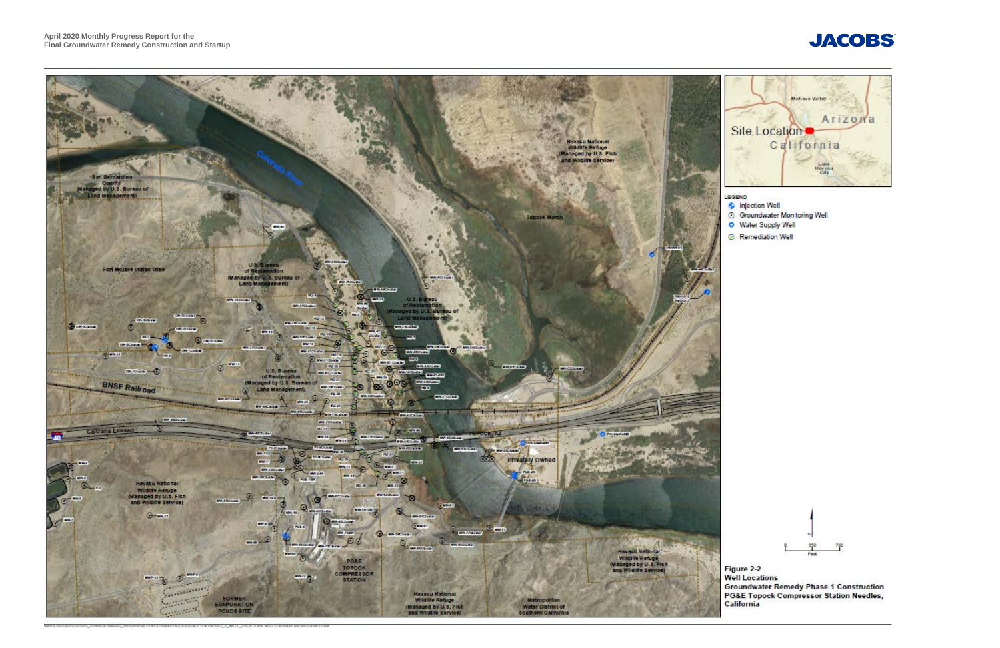



- 
- 
- 
-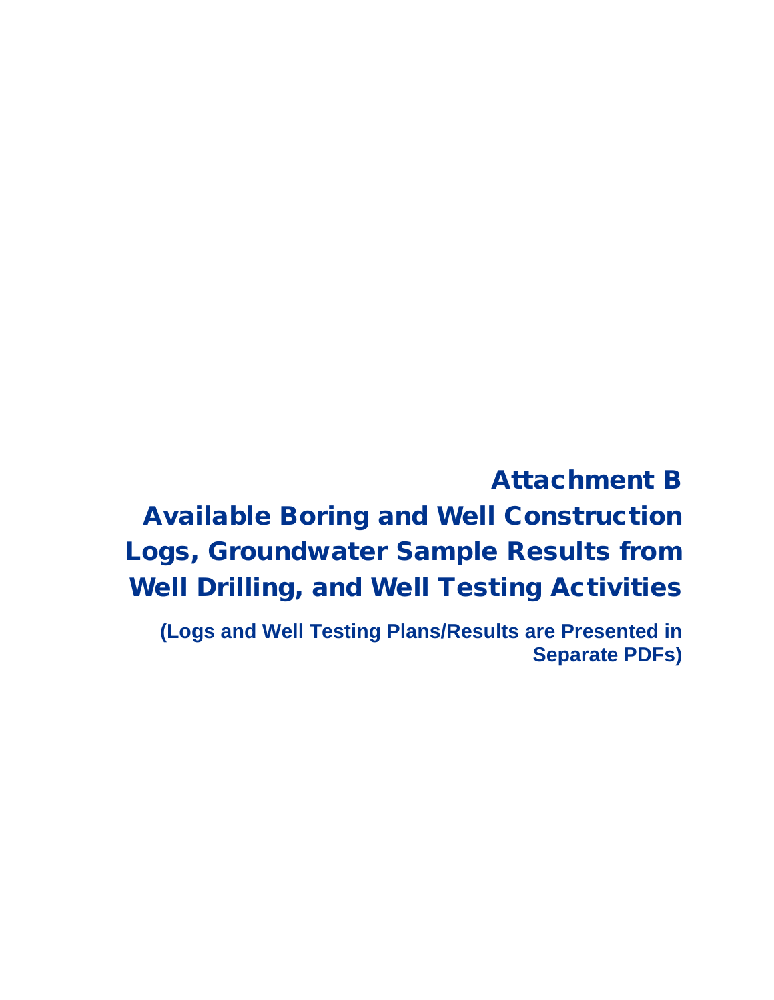Attachment B Available Boring and Well Construction Logs, Groundwater Sample Results from Well Drilling, and Well Testing Activities

**(Logs and Well Testing Plans/Results are Presented in Separate PDFs)**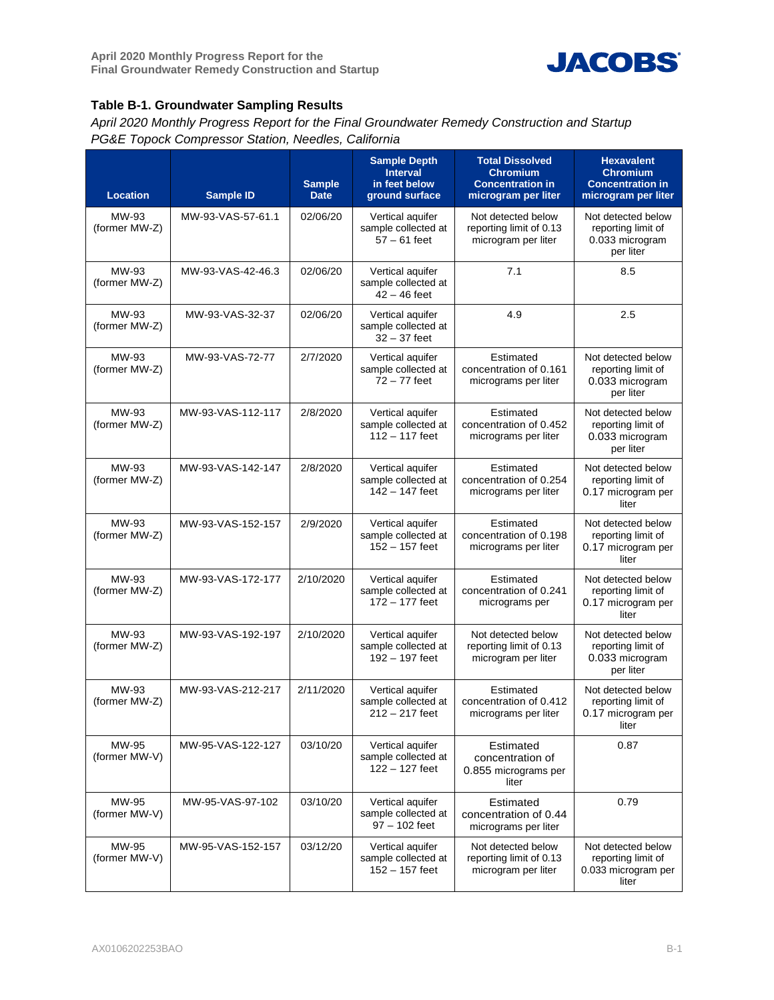

#### **Table B-1. Groundwater Sampling Results**

*April 2020 Monthly Progress Report for the Final Groundwater Remedy Construction and Startup PG&E Topock Compressor Station, Needles, California*

| <b>Location</b>        | <b>Sample ID</b>  | <b>Sample</b><br><b>Date</b> | <b>Sample Depth</b><br><b>Interval</b><br>in feet below<br>ground surface | <b>Total Dissolved</b><br><b>Chromium</b><br><b>Concentration in</b><br>microgram per liter                                                      | <b>Hexavalent</b><br><b>Chromium</b><br><b>Concentration in</b><br>microgram per liter |  |
|------------------------|-------------------|------------------------------|---------------------------------------------------------------------------|--------------------------------------------------------------------------------------------------------------------------------------------------|----------------------------------------------------------------------------------------|--|
| MW-93<br>(former MW-Z) | MW-93-VAS-57-61.1 | 02/06/20                     | Vertical aquifer<br>sample collected at<br>$57 - 61$ feet                 | Not detected below<br>reporting limit of 0.13<br>microgram per liter                                                                             | Not detected below<br>reporting limit of<br>0.033 microgram<br>per liter               |  |
| MW-93<br>(former MW-Z) | MW-93-VAS-42-46.3 | 02/06/20                     | Vertical aquifer<br>sample collected at<br>42 – 46 feet                   | 7.1                                                                                                                                              | 8.5                                                                                    |  |
| MW-93<br>(former MW-Z) | MW-93-VAS-32-37   | 02/06/20                     | Vertical aquifer<br>sample collected at<br>$32 - 37$ feet                 | 4.9                                                                                                                                              | 2.5                                                                                    |  |
| MW-93<br>(former MW-Z) | MW-93-VAS-72-77   | 2/7/2020                     | Vertical aquifer<br>sample collected at<br>$72 - 77$ feet                 | Estimated<br>concentration of 0.161<br>micrograms per liter                                                                                      | Not detected below<br>reporting limit of<br>0.033 microgram<br>per liter               |  |
| MW-93<br>(former MW-Z) | MW-93-VAS-112-117 | 2/8/2020                     | Vertical aquifer<br>sample collected at<br>$112 - 117$ feet               | Estimated<br>concentration of 0.452<br>micrograms per liter                                                                                      | Not detected below<br>reporting limit of<br>0.033 microgram<br>per liter               |  |
| MW-93<br>(former MW-Z) | MW-93-VAS-142-147 | 2/8/2020                     | Vertical aquifer<br>sample collected at<br>$142 - 147$ feet               | Estimated<br>concentration of 0.254<br>micrograms per liter                                                                                      | Not detected below<br>reporting limit of<br>0.17 microgram per<br>liter                |  |
| MW-93<br>(former MW-Z) | MW-93-VAS-152-157 | 2/9/2020                     | Vertical aquifer<br>sample collected at<br>$152 - 157$ feet               | Estimated<br>concentration of 0.198<br>micrograms per liter                                                                                      | Not detected below<br>reporting limit of<br>0.17 microgram per<br>liter                |  |
| MW-93<br>(former MW-Z) | MW-93-VAS-172-177 | 2/10/2020                    | Vertical aquifer<br>sample collected at<br>$172 - 177$ feet               | Estimated<br>concentration of 0.241<br>micrograms per                                                                                            | Not detected below<br>reporting limit of<br>0.17 microgram per<br>liter                |  |
| MW-93<br>(former MW-Z) | MW-93-VAS-192-197 | 2/10/2020                    | Vertical aquifer<br>sample collected at<br>192 - 197 feet                 | Not detected below<br>reporting limit of 0.13<br>microgram per liter                                                                             | Not detected below<br>reporting limit of<br>0.033 microgram<br>per liter               |  |
| MW-93<br>(former MW-Z) | MW-93-VAS-212-217 | 2/11/2020                    | Vertical aquifer<br>sample collected at<br>212 - 217 feet                 | Estimated<br>concentration of 0.412<br>micrograms per liter                                                                                      | Not detected below<br>reporting limit of<br>0.17 microgram per<br>liter                |  |
| MW-95<br>(former MW-V) | MW-95-VAS-122-127 | 03/10/20                     | Vertical aquifer<br>sample collected at<br>$122 - 127$ feet               | Estimated<br>concentration of<br>0.855 micrograms per<br>liter                                                                                   | 0.87                                                                                   |  |
| MW-95<br>(former MW-V) | MW-95-VAS-97-102  | 03/10/20                     | Vertical aquifer<br>sample collected at<br>$97 - 102$ feet                | Estimated<br>concentration of 0.44<br>micrograms per liter                                                                                       | 0.79                                                                                   |  |
| MW-95<br>(former MW-V) | MW-95-VAS-152-157 | 03/12/20                     | Vertical aquifer<br>sample collected at<br>$152 - 157$ feet               | Not detected below<br>Not detected below<br>reporting limit of 0.13<br>reporting limit of<br>microgram per liter<br>0.033 microgram per<br>liter |                                                                                        |  |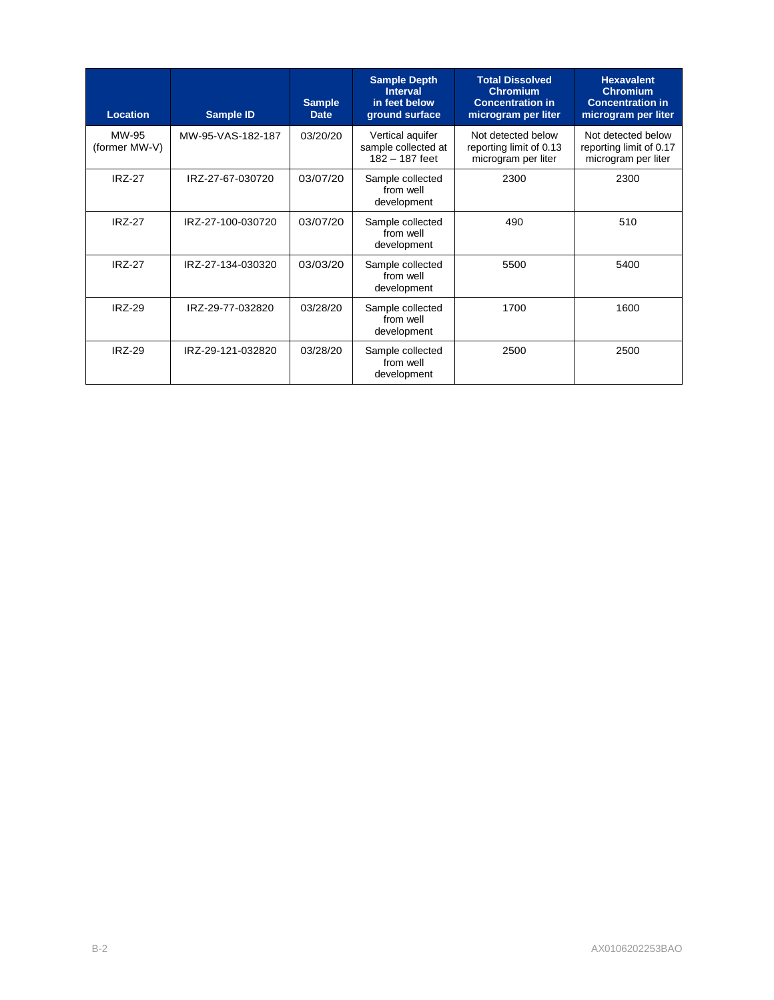| <b>Location</b>        | <b>Sample ID</b>  | <b>Sample</b><br><b>Date</b> | <b>Sample Depth</b><br><b>Interval</b><br>in feet below<br>ground surface | <b>Total Dissolved</b><br><b>Chromium</b><br><b>Concentration in</b><br>microgram per liter | <b>Hexavalent</b><br><b>Chromium</b><br><b>Concentration in</b><br>microgram per liter |
|------------------------|-------------------|------------------------------|---------------------------------------------------------------------------|---------------------------------------------------------------------------------------------|----------------------------------------------------------------------------------------|
| MW-95<br>(former MW-V) | MW-95-VAS-182-187 | 03/20/20                     | Vertical aquifer<br>sample collected at<br>182 - 187 feet                 | Not detected below<br>reporting limit of 0.13<br>microgram per liter                        | Not detected below<br>reporting limit of 0.17<br>microgram per liter                   |
| <b>IRZ-27</b>          | IRZ-27-67-030720  | 03/07/20                     | 2300<br>Sample collected<br>from well<br>development                      |                                                                                             | 2300                                                                                   |
| <b>IRZ-27</b>          | IRZ-27-100-030720 | 03/07/20                     | Sample collected<br>from well<br>development                              | 490                                                                                         | 510                                                                                    |
| <b>IRZ-27</b>          | IRZ-27-134-030320 | 03/03/20                     | Sample collected<br>from well<br>development                              | 5500                                                                                        | 5400                                                                                   |
| <b>IRZ-29</b>          | IRZ-29-77-032820  | 03/28/20                     | Sample collected<br>from well<br>development                              | 1700                                                                                        | 1600                                                                                   |
| <b>IRZ-29</b>          | IRZ-29-121-032820 | 03/28/20                     | Sample collected<br>from well<br>development                              | 2500                                                                                        | 2500                                                                                   |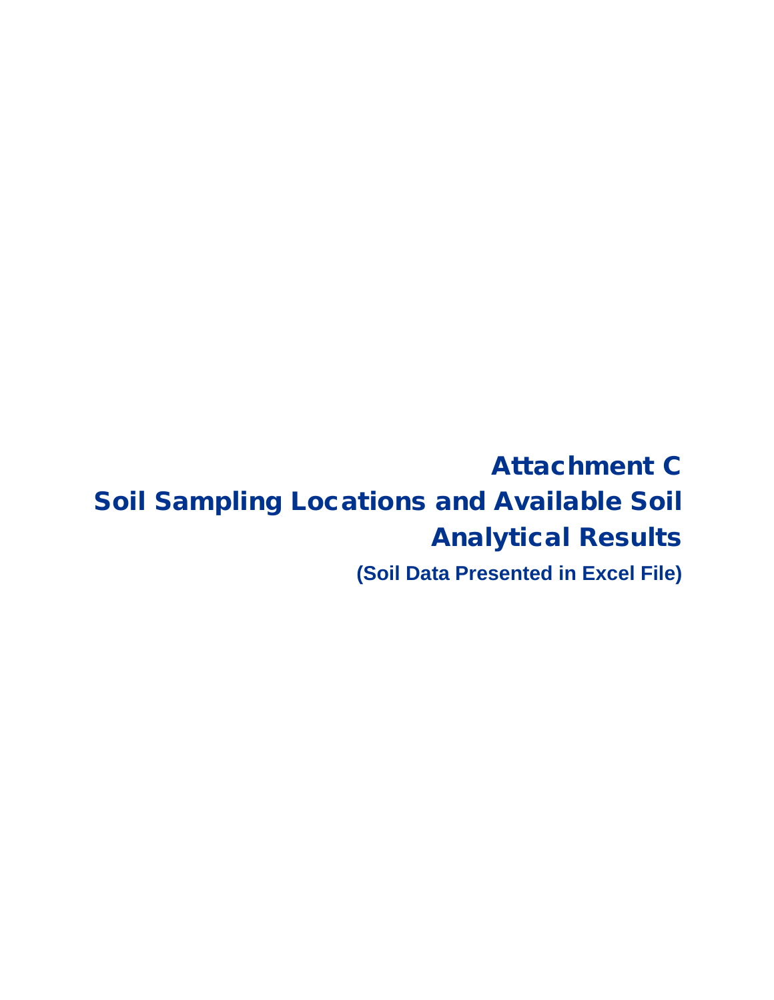# Attachment C Soil Sampling Locations and Available Soil Analytical Results

**(Soil Data Presented in Excel File)**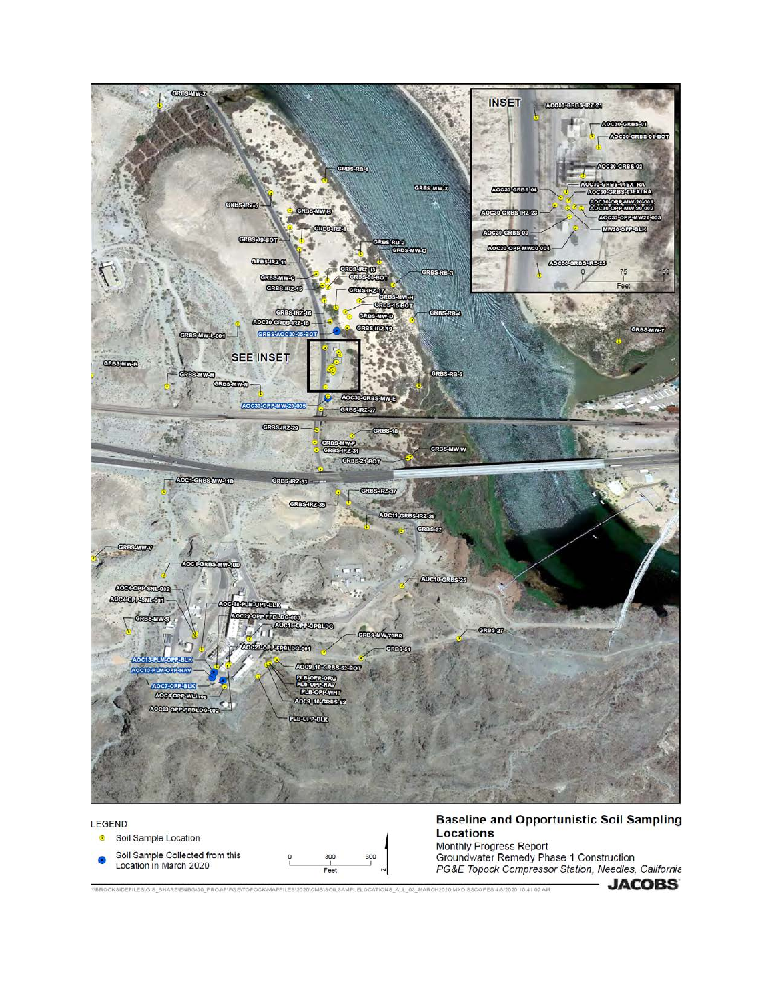



**Baseline and Opportunistic Soil Sampling** Locations Monthly Progress Report Groundwater Remedy Phase 1 Construction PG&E Topock Compressor Station, Needles, California

VBROOKSIDEFILESVGIS\_SHAREVENBGV00\_PROJIPIPGEVTOPOCKWAPFILESV2020ICMSVSOILSAMPLELOCATIONS\_ALL\_03\_MARCH2020.MXD SSCOPES 4/8/2020 10:41:02 AM

600

**JACOBS**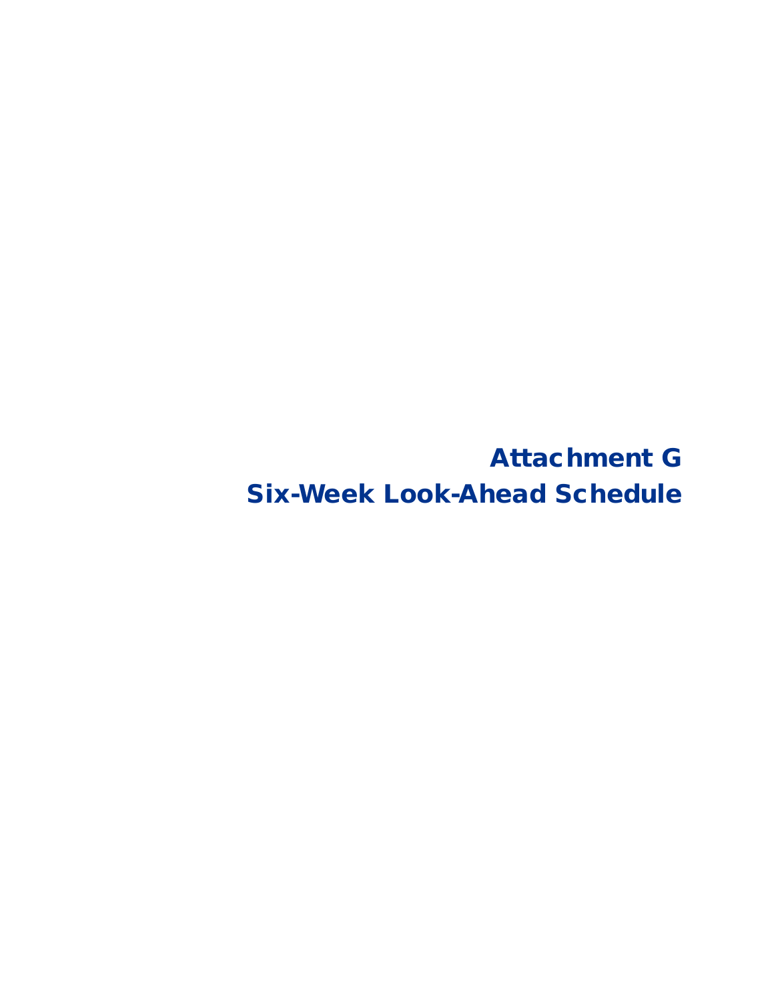Attachment G Six-Week Look-Ahead Schedule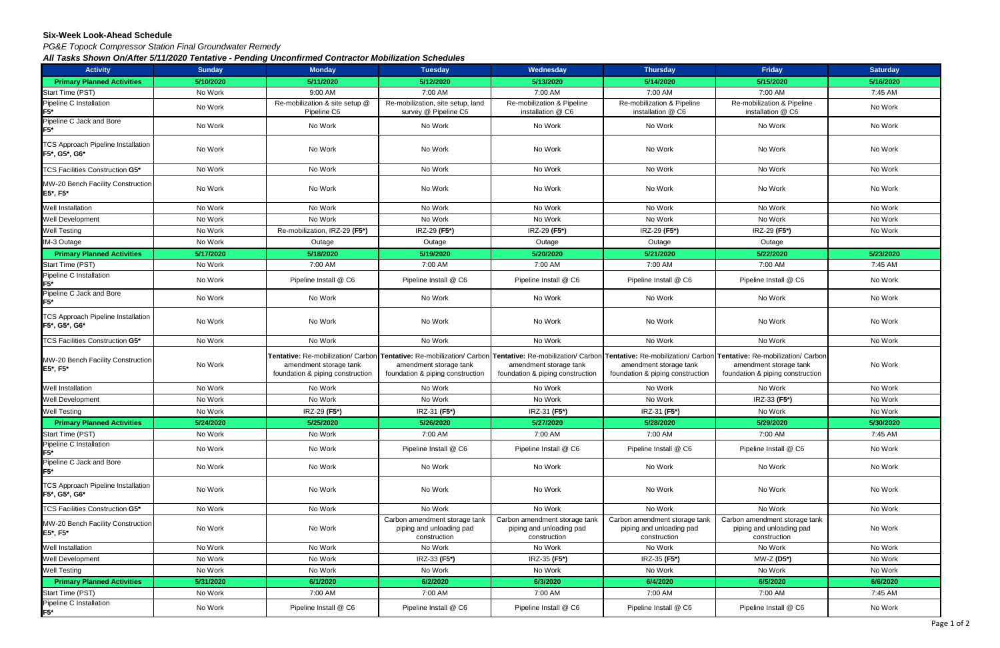#### **Six-Week Look-Ahead Schedule**

*PG&E Topock Compressor Station Final Groundwater Remedy*

*All Tasks Shown On/After 5/11/2020 Tentative - Pending Unconfirmed Contractor Mobilization Schedules*

| <b>Activity</b>                                            | <b>Sunday</b> | <b>Monday</b>                                              | <b>Tuesday</b>                                                                                                                                                                                                                                                                  | Wednesday                                                                 | <b>Thursday</b>                                                           | Friday                                                                    | <b>Saturday</b> |
|------------------------------------------------------------|---------------|------------------------------------------------------------|---------------------------------------------------------------------------------------------------------------------------------------------------------------------------------------------------------------------------------------------------------------------------------|---------------------------------------------------------------------------|---------------------------------------------------------------------------|---------------------------------------------------------------------------|-----------------|
| <b>Primary Planned Activities</b>                          | 5/10/2020     | 5/11/2020                                                  | 5/12/2020                                                                                                                                                                                                                                                                       | 5/13/2020                                                                 | 5/14/2020                                                                 | 5/15/2020                                                                 | 5/16/2020       |
| Start Time (PST)                                           | No Work       | 9:00 AM                                                    | 7:00 AM                                                                                                                                                                                                                                                                         | 7:00 AM                                                                   | 7:00 AM                                                                   | 7:00 AM                                                                   | 7:45 AM         |
| Pipeline C Installation<br>$F5*$                           | No Work       | Re-mobilization & site setup @<br>Pipeline C6              | Re-mobilization, site setup, land<br>survey @ Pipeline C6                                                                                                                                                                                                                       | Re-mobilization & Pipeline<br>installation @ C6                           | Re-mobilization & Pipeline<br>installation @ C6                           | Re-mobilization & Pipeline<br>installation @ C6                           | No Work         |
| Pipeline C Jack and Bore<br>F5*                            | No Work       | No Work                                                    | No Work                                                                                                                                                                                                                                                                         | No Work                                                                   | No Work                                                                   | No Work                                                                   | No Work         |
| <b>TCS Approach Pipeline Installation</b><br>F5*, G5*, G6* | No Work       | No Work                                                    | No Work                                                                                                                                                                                                                                                                         | No Work                                                                   | No Work                                                                   | No Work                                                                   | No Work         |
| TCS Facilities Construction G5*                            | No Work       | No Work                                                    | No Work                                                                                                                                                                                                                                                                         | No Work                                                                   | No Work                                                                   | No Work                                                                   | No Work         |
| MW-20 Bench Facility Construction<br>E5*, F5*              | No Work       | No Work                                                    | No Work                                                                                                                                                                                                                                                                         | No Work                                                                   | No Work                                                                   | No Work                                                                   | No Work         |
| Well Installation                                          | No Work       | No Work                                                    | No Work                                                                                                                                                                                                                                                                         | No Work                                                                   | No Work                                                                   | No Work                                                                   | No Work         |
| Well Development                                           | No Work       | No Work                                                    | No Work                                                                                                                                                                                                                                                                         | No Work                                                                   | No Work                                                                   | No Work                                                                   | No Work         |
| Well Testing                                               | No Work       | Re-mobilization, IRZ-29 (F5*)                              | IRZ-29 (F5*)                                                                                                                                                                                                                                                                    | IRZ-29 (F5*)                                                              | IRZ-29 (F5*)                                                              | IRZ-29 (F5*)                                                              | No Work         |
| IM-3 Outage                                                | No Work       | Outage                                                     | Outage                                                                                                                                                                                                                                                                          | Outage                                                                    | Outage                                                                    | Outage                                                                    |                 |
| <b>Primary Planned Activities</b>                          | 5/17/2020     | 5/18/2020                                                  | 5/19/2020                                                                                                                                                                                                                                                                       | 5/20/2020                                                                 | 5/21/2020                                                                 | 5/22/2020                                                                 | 5/23/2020       |
| Start Time (PST)                                           | No Work       | 7:00 AM                                                    | 7:00 AM                                                                                                                                                                                                                                                                         | 7:00 AM                                                                   | 7:00 AM                                                                   | 7:00 AM                                                                   | 7:45 AM         |
| Pipeline C Installation<br>F5*                             | No Work       | Pipeline Install @ C6                                      | Pipeline Install @ C6                                                                                                                                                                                                                                                           | Pipeline Install @ C6                                                     | Pipeline Install @ C6                                                     | Pipeline Install @ C6                                                     | No Work         |
| Pipeline C Jack and Bore<br>$F5*$                          | No Work       | No Work                                                    | No Work                                                                                                                                                                                                                                                                         | No Work                                                                   | No Work                                                                   | No Work                                                                   | No Work         |
| <b>TCS Approach Pipeline Installation</b><br>F5*, G5*, G6* | No Work       | No Work                                                    | No Work                                                                                                                                                                                                                                                                         | No Work                                                                   | No Work                                                                   | No Work                                                                   | No Work         |
| TCS Facilities Construction G5*                            | No Work       | No Work                                                    | No Work                                                                                                                                                                                                                                                                         | No Work                                                                   | No Work                                                                   | No Work                                                                   | No Work         |
| MW-20 Bench Facility Construction<br>E5*, F5*              | No Work       | amendment storage tank<br>foundation & piping construction | Tentative: Re-mobilization/ Carbon Tentative: Re-mobilization/ Carbon Tentative: Re-mobilization/ Carbon Tentative: Re-mobilization/ Carbon Tentative: Re-mobilization/ Carbon Tentative: Re-mobilization/ Carbon<br>amendment storage tank<br>foundation & piping construction | amendment storage tank<br>foundation & piping construction                | amendment storage tank<br>foundation & piping construction                | amendment storage tank<br>foundation & piping construction                | No Work         |
| Well Installation                                          | No Work       | No Work                                                    | No Work                                                                                                                                                                                                                                                                         | No Work                                                                   | No Work                                                                   | No Work                                                                   | No Work         |
| Well Development                                           | No Work       | No Work                                                    | No Work                                                                                                                                                                                                                                                                         | No Work                                                                   | No Work                                                                   | IRZ-33 (F5*)                                                              | No Work         |
| Well Testing                                               | No Work       | IRZ-29 (F5*)                                               | IRZ-31 (F5*)                                                                                                                                                                                                                                                                    | IRZ-31 (F5*)                                                              | IRZ-31 (F5*)                                                              | No Work                                                                   | No Work         |
| <b>Primary Planned Activities</b>                          | 5/24/2020     | 5/25/2020                                                  | 5/26/2020                                                                                                                                                                                                                                                                       | 5/27/2020                                                                 | 5/28/2020                                                                 | 5/29/2020                                                                 | 5/30/2020       |
| Start Time (PST)                                           | No Work       | No Work                                                    | 7:00 AM                                                                                                                                                                                                                                                                         | 7:00 AM                                                                   | 7:00 AM                                                                   | 7:00 AM                                                                   | 7:45 AM         |
| Pipeline C Installation<br>F5*                             | No Work       | No Work                                                    | Pipeline Install @ C6                                                                                                                                                                                                                                                           | Pipeline Install @ C6                                                     | Pipeline Install @ C6                                                     | Pipeline Install @ C6                                                     | No Work         |
| Pipeline C Jack and Bore<br>F5*                            | No Work       | No Work                                                    | No Work                                                                                                                                                                                                                                                                         | No Work                                                                   | No Work                                                                   | No Work                                                                   | No Work         |
| <b>TCS Approach Pipeline Installation</b><br>F5*, G5*, G6* | No Work       | No Work                                                    | No Work                                                                                                                                                                                                                                                                         | No Work                                                                   | No Work                                                                   | No Work                                                                   | No Work         |
| TCS Facilities Construction G5*                            | No Work       | No Work                                                    | No Work                                                                                                                                                                                                                                                                         | No Work                                                                   | No Work                                                                   | No Work                                                                   | No Work         |
| MW-20 Bench Facility Construction<br>E5*, F5*              | No Work       | No Work                                                    | Carbon amendment storage tank<br>piping and unloading pad<br>construction                                                                                                                                                                                                       | Carbon amendment storage tank<br>piping and unloading pad<br>construction | Carbon amendment storage tank<br>piping and unloading pad<br>construction | Carbon amendment storage tank<br>piping and unloading pad<br>construction | No Work         |
| Well Installation                                          | No Work       | No Work                                                    | No Work                                                                                                                                                                                                                                                                         | No Work                                                                   | No Work                                                                   | No Work                                                                   | No Work         |
| <b>Well Development</b>                                    | No Work       | No Work                                                    | IRZ-33 (F5*)                                                                                                                                                                                                                                                                    | IRZ-35 (F5*)                                                              | IRZ-35 (F5*)                                                              | MW-Z (D5*)                                                                | No Work         |
| <b>Well Testing</b>                                        | No Work       | No Work                                                    | No Work                                                                                                                                                                                                                                                                         | No Work                                                                   | No Work                                                                   | No Work                                                                   | No Work         |
| <b>Primary Planned Activities</b>                          | 5/31/2020     | 6/1/2020                                                   | 6/2/2020                                                                                                                                                                                                                                                                        | 6/3/2020                                                                  | 6/4/2020                                                                  | 6/5/2020                                                                  | 6/6/2020        |
| Start Time (PST)                                           | No Work       | 7:00 AM                                                    | 7:00 AM                                                                                                                                                                                                                                                                         | 7:00 AM                                                                   | 7:00 AM                                                                   | 7:00 AM                                                                   | 7:45 AM         |
| Pipeline C Installation<br>F5*                             | No Work       | Pipeline Install @ C6                                      | Pipeline Install @ C6                                                                                                                                                                                                                                                           | Pipeline Install @ C6                                                     | Pipeline Install @ C6                                                     | Pipeline Install @ C6                                                     | No Work         |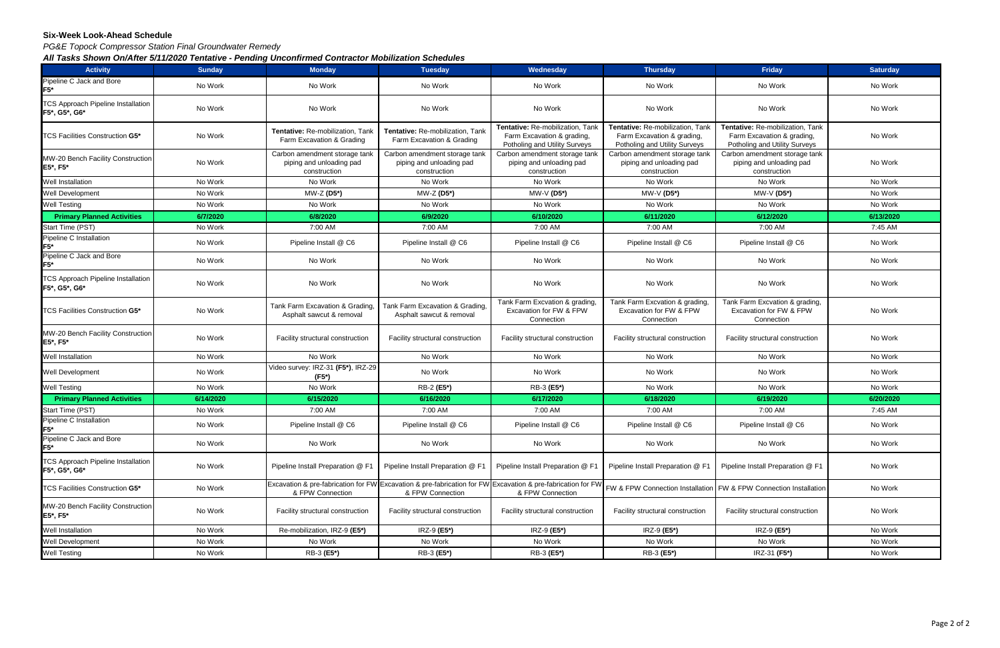#### **Six-Week Look-Ahead Schedule**

*PG&E Topock Compressor Station Final Groundwater Remedy*

*All Tasks Shown On/After 5/11/2020 Tentative - Pending Unconfirmed Contractor Mobilization Schedules*

| <b>Activity</b>                                            | <b>Sunday</b> | <b>Monday</b>                                                             | <b>Tuesday</b>                                                                                                                  | Wednesday                                                                                       | <b>Thursday</b>                                                                                 | Friday                                                                                          | <b>Saturday</b> |
|------------------------------------------------------------|---------------|---------------------------------------------------------------------------|---------------------------------------------------------------------------------------------------------------------------------|-------------------------------------------------------------------------------------------------|-------------------------------------------------------------------------------------------------|-------------------------------------------------------------------------------------------------|-----------------|
| Pipeline C Jack and Bore<br>F5*                            | No Work       | No Work                                                                   | No Work                                                                                                                         | No Work                                                                                         | No Work                                                                                         | No Work                                                                                         | No Work         |
| <b>TCS Approach Pipeline Installation</b><br>F5*, G5*, G6* | No Work       | No Work                                                                   | No Work                                                                                                                         | No Work                                                                                         | No Work                                                                                         | No Work                                                                                         | No Work         |
| TCS Facilities Construction G5*                            | No Work       | Tentative: Re-mobilization, Tank<br>Farm Excavation & Grading             | Tentative: Re-mobilization, Tank<br>Farm Excavation & Grading                                                                   | Tentative: Re-mobilization, Tank<br>Farm Excavation & grading,<br>Potholing and Utility Surveys | Tentative: Re-mobilization, Tank<br>Farm Excavation & grading,<br>Potholing and Utility Surveys | Tentative: Re-mobilization, Tank<br>Farm Excavation & grading,<br>Potholing and Utility Surveys | No Work         |
| MW-20 Bench Facility Construction<br>E5*, F5*              | No Work       | Carbon amendment storage tank<br>piping and unloading pad<br>construction | Carbon amendment storage tank<br>piping and unloading pad<br>construction                                                       | Carbon amendment storage tank<br>piping and unloading pad<br>construction                       | Carbon amendment storage tank<br>piping and unloading pad<br>construction                       | Carbon amendment storage tank<br>piping and unloading pad<br>construction                       | No Work         |
| Well Installation                                          | No Work       | No Work                                                                   | No Work                                                                                                                         | No Work                                                                                         | No Work                                                                                         | No Work                                                                                         | No Work         |
| Well Development                                           | No Work       | MW-Z (D5*)                                                                | MW-Z (D5*)                                                                                                                      | MW-V (D5*)                                                                                      | MW-V (D5*)                                                                                      | MW-V (D5*)                                                                                      | No Work         |
| <b>Well Testing</b>                                        | No Work       | No Work                                                                   | No Work                                                                                                                         | No Work                                                                                         | No Work                                                                                         | No Work                                                                                         | No Work         |
| <b>Primary Planned Activities</b>                          | 6/7/2020      | 6/8/2020                                                                  | 6/9/2020                                                                                                                        | 6/10/2020                                                                                       | 6/11/2020                                                                                       | 6/12/2020                                                                                       | 6/13/2020       |
| Start Time (PST)                                           | No Work       | 7:00 AM                                                                   | 7:00 AM                                                                                                                         | 7:00 AM                                                                                         | 7:00 AM                                                                                         | 7:00 AM                                                                                         | 7:45 AM         |
| Pipeline C Installation<br>$F5*$                           | No Work       | Pipeline Install @ C6                                                     | Pipeline Install @ C6                                                                                                           | Pipeline Install @ C6                                                                           | Pipeline Install @ C6                                                                           | Pipeline Install @ C6                                                                           | No Work         |
| Pipeline C Jack and Bore<br>F5*                            | No Work       | No Work                                                                   | No Work                                                                                                                         | No Work                                                                                         | No Work                                                                                         | No Work                                                                                         | No Work         |
| <b>TCS Approach Pipeline Installation</b><br>F5*, G5*, G6* | No Work       | No Work                                                                   | No Work                                                                                                                         | No Work                                                                                         | No Work                                                                                         | No Work                                                                                         | No Work         |
| TCS Facilities Construction <b>G5*</b>                     | No Work       | Tank Farm Excavation & Grading,<br>Asphalt sawcut & removal               | Tank Farm Excavation & Grading,<br>Asphalt sawcut & removal                                                                     | Tank Farm Excvation & grading<br>Excavation for FW & FPW<br>Connection                          | Tank Farm Excvation & grading,<br>Excavation for FW & FPW<br>Connection                         | Tank Farm Excvation & grading,<br>Excavation for FW & FPW<br>Connection                         | No Work         |
| MW-20 Bench Facility Construction<br>E5*, F5*              | No Work       | Facility structural construction                                          | Facility structural construction                                                                                                | Facility structural construction                                                                | Facility structural construction                                                                | Facility structural construction                                                                | No Work         |
| Well Installation                                          | No Work       | No Work                                                                   | No Work                                                                                                                         | No Work                                                                                         | No Work                                                                                         | No Work                                                                                         | No Work         |
| Well Development                                           | No Work       | Video survey: IRZ-31 (F5*), IRZ-29<br>(F5*)                               | No Work                                                                                                                         | No Work                                                                                         | No Work                                                                                         | No Work                                                                                         | No Work         |
| <b>Well Testing</b>                                        | No Work       | No Work                                                                   | RB-2 (E5*)                                                                                                                      | RB-3 (E5*)                                                                                      | No Work                                                                                         | No Work                                                                                         | No Work         |
| <b>Primary Planned Activities</b>                          | 6/14/2020     | 6/15/2020                                                                 | 6/16/2020                                                                                                                       | 6/17/2020                                                                                       | 6/18/2020                                                                                       | 6/19/2020                                                                                       | 6/20/2020       |
| Start Time (PST)                                           | No Work       | 7:00 AM                                                                   | 7:00 AM                                                                                                                         | 7:00 AM                                                                                         | 7:00 AM                                                                                         | 7:00 AM                                                                                         | 7:45 AM         |
| Pipeline C Installation<br>F5*                             | No Work       | Pipeline Install @ C6                                                     | Pipeline Install @ C6                                                                                                           | Pipeline Install @ C6                                                                           | Pipeline Install @ C6                                                                           | Pipeline Install @ C6                                                                           | No Work         |
| Pipeline C Jack and Bore<br>F5*                            | No Work       | No Work                                                                   | No Work                                                                                                                         | No Work                                                                                         | No Work                                                                                         | No Work                                                                                         | No Work         |
| <b>TCS Approach Pipeline Installation</b><br>F5*, G5*, G6* | No Work       | Pipeline Install Preparation @ F1                                         | Pipeline Install Preparation @ F1                                                                                               | Pipeline Install Preparation @ F1                                                               | Pipeline Install Preparation @ F1                                                               | Pipeline Install Preparation @ F1                                                               | No Work         |
| <b>TCS Facilities Construction G5*</b>                     | No Work       | & FPW Connection                                                          | Excavation & pre-fabrication for FW Excavation & pre-fabrication for FW Excavation & pre-fabrication for FW<br>& FPW Connection | & FPW Connection                                                                                | FW & FPW Connection Installation                                                                | FW & FPW Connection Installation                                                                | No Work         |
| MW-20 Bench Facility Construction<br>E5*, F5*              | No Work       | Facility structural construction                                          | Facility structural construction                                                                                                | Facility structural construction                                                                | Facility structural construction                                                                | Facility structural construction                                                                | No Work         |
| Well Installation                                          | No Work       | Re-mobilization, IRZ-9 (E5*)                                              | IRZ-9 (E5*)                                                                                                                     | IRZ-9 (E5*)                                                                                     | IRZ-9 (E5*)                                                                                     | IRZ-9 (E5*)                                                                                     | No Work         |
| Well Development                                           | No Work       | No Work                                                                   | No Work                                                                                                                         | No Work                                                                                         | No Work                                                                                         | No Work                                                                                         | No Work         |
| <b>Well Testing</b>                                        | No Work       | RB-3 (E5*)                                                                | RB-3 (E5*)                                                                                                                      | RB-3 (E5*)                                                                                      | RB-3 (E5*)                                                                                      | IRZ-31 (F5*)                                                                                    | No Work         |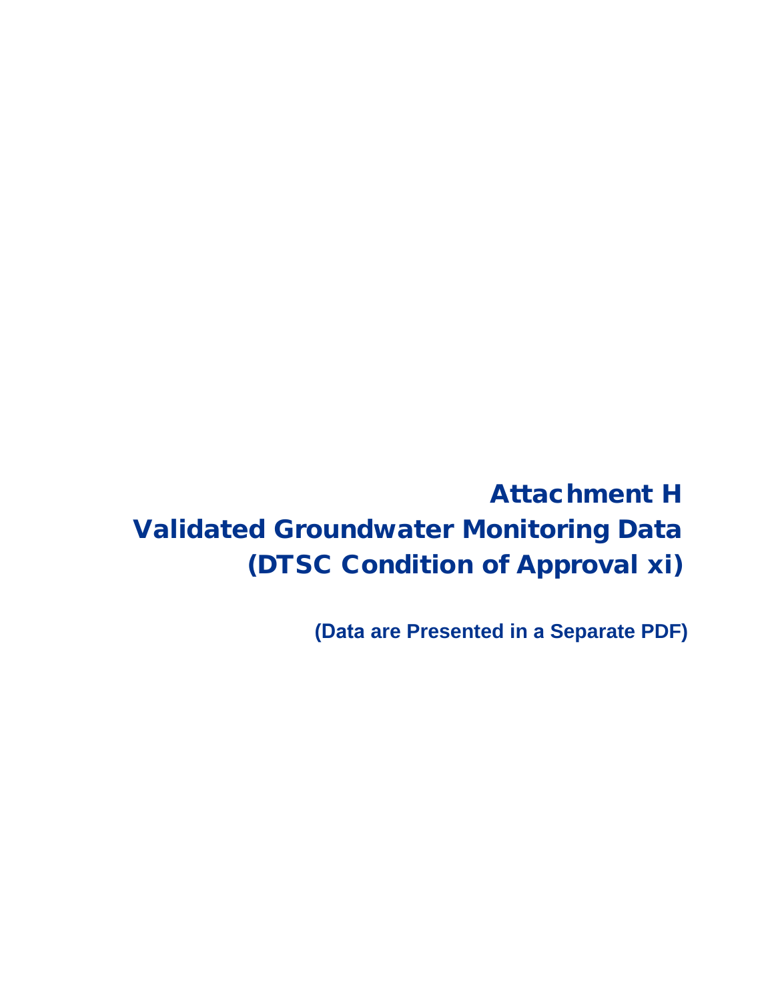Attachment H Validated Groundwater Monitoring Data (DTSC Condition of Approval xi)

**(Data are Presented in a Separate PDF)**